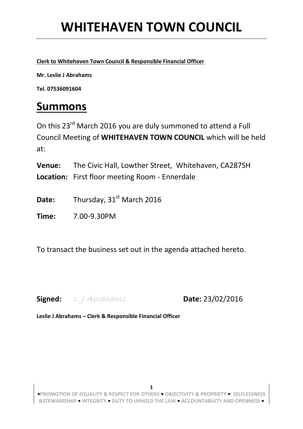**Clerk to Whitehaven Town Council & Responsible Financial Officer**

**Mr. Leslie J Abrahams** 

**Tel. 07536091604**

### **Summons**

On this 23<sup>rd</sup> March 2016 you are duly summoned to attend a Full Council Meeting of **WHITEHAVEN TOWN COUNCIL** which will be held at:

**Venue:** The Civic Hall, Lowther Street, Whitehaven, CA287SH **Location:** First floor meeting Room - Ennerdale

Date: Thursday, 31<sup>st</sup> March 2016

**Time:** 7.00-9.30PM

To transact the business set out in the agenda attached hereto.

**Signed:** L J Abrahams **Date:** 23/02/2016

**Leslie J Abrahams – Clerk & Responsible Financial Officer**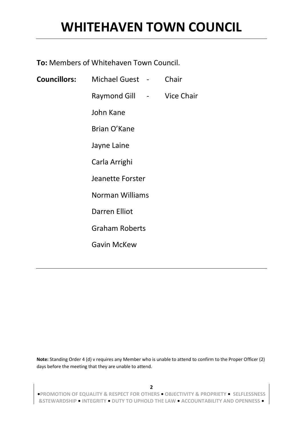**To:** Members of Whitehaven Town Council.

| <b>Councillors:</b> Michael Guest -                                                                                                                                                                                                                                                                                                                                                                                                                                       | Chair             |
|---------------------------------------------------------------------------------------------------------------------------------------------------------------------------------------------------------------------------------------------------------------------------------------------------------------------------------------------------------------------------------------------------------------------------------------------------------------------------|-------------------|
| Raymond Gill<br>$\mathcal{L}^{\mathcal{L}}(\mathcal{L}^{\mathcal{L}}(\mathcal{L}^{\mathcal{L}}(\mathcal{L}^{\mathcal{L}}(\mathcal{L}^{\mathcal{L}}(\mathcal{L}^{\mathcal{L}}(\mathcal{L}^{\mathcal{L}}(\mathcal{L}^{\mathcal{L}}(\mathcal{L}^{\mathcal{L}}(\mathcal{L}^{\mathcal{L}}(\mathcal{L}^{\mathcal{L}}(\mathcal{L}^{\mathcal{L}}(\mathcal{L}^{\mathcal{L}}(\mathcal{L}^{\mathcal{L}}(\mathcal{L}^{\mathcal{L}}(\mathcal{L}^{\mathcal{L}}(\mathcal{L}^{\mathcal{L$ | <b>Vice Chair</b> |
| John Kane                                                                                                                                                                                                                                                                                                                                                                                                                                                                 |                   |
| Brian O'Kane                                                                                                                                                                                                                                                                                                                                                                                                                                                              |                   |
| Jayne Laine                                                                                                                                                                                                                                                                                                                                                                                                                                                               |                   |
| Carla Arrighi                                                                                                                                                                                                                                                                                                                                                                                                                                                             |                   |
| Jeanette Forster                                                                                                                                                                                                                                                                                                                                                                                                                                                          |                   |
| Norman Williams                                                                                                                                                                                                                                                                                                                                                                                                                                                           |                   |
| <b>Darren Elliot</b>                                                                                                                                                                                                                                                                                                                                                                                                                                                      |                   |
| <b>Graham Roberts</b>                                                                                                                                                                                                                                                                                                                                                                                                                                                     |                   |
| <b>Gavin McKew</b>                                                                                                                                                                                                                                                                                                                                                                                                                                                        |                   |

**Note:** Standing Order 4 (d) v requires any Member who is unable to attend to confirm to the Proper Officer (2) days before the meeting that they are unable to attend.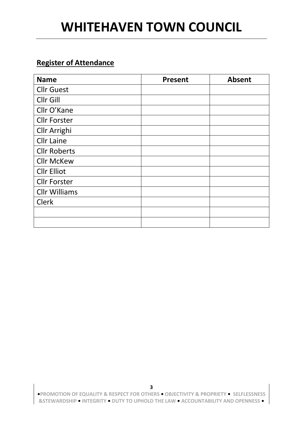#### **Register of Attendance**

| <b>Name</b>          | <b>Present</b> | <b>Absent</b> |
|----------------------|----------------|---------------|
| <b>Cllr Guest</b>    |                |               |
| Cllr Gill            |                |               |
| Cllr O'Kane          |                |               |
| <b>Cllr Forster</b>  |                |               |
| Cllr Arrighi         |                |               |
| <b>Cllr Laine</b>    |                |               |
| <b>Cllr Roberts</b>  |                |               |
| <b>Cllr McKew</b>    |                |               |
| <b>Cllr Elliot</b>   |                |               |
| <b>Cllr Forster</b>  |                |               |
| <b>Cllr Williams</b> |                |               |
| <b>Clerk</b>         |                |               |
|                      |                |               |
|                      |                |               |

**•PROMOTION OF EQUALITY & RESPECT FOR OTHERS • OBJECTIVITY & PROPRIETY • SELFLESSNESS &STEWARDSHIP • INTEGRITY • DUTY TO UPHOLD THE LAW • ACCOUNTABILITY AND OPENNESS •**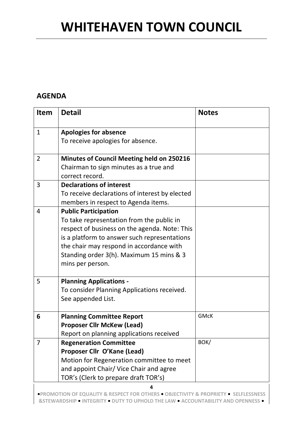#### **AGENDA**

| <b>Item</b>    | <b>Detail</b>                                                                                                                                                                                                                                                                         | <b>Notes</b> |
|----------------|---------------------------------------------------------------------------------------------------------------------------------------------------------------------------------------------------------------------------------------------------------------------------------------|--------------|
| $\mathbf{1}$   | <b>Apologies for absence</b><br>To receive apologies for absence.                                                                                                                                                                                                                     |              |
| $\overline{2}$ | <b>Minutes of Council Meeting held on 250216</b><br>Chairman to sign minutes as a true and<br>correct record.                                                                                                                                                                         |              |
| 3              | <b>Declarations of interest</b><br>To receive declarations of interest by elected<br>members in respect to Agenda items.                                                                                                                                                              |              |
| 4              | <b>Public Participation</b><br>To take representation from the public in<br>respect of business on the agenda. Note: This<br>is a platform to answer such representations<br>the chair may respond in accordance with<br>Standing order 3(h). Maximum 15 mins & 3<br>mins per person. |              |
| 5              | <b>Planning Applications -</b><br>To consider Planning Applications received.<br>See appended List.                                                                                                                                                                                   |              |
| 6              | <b>Planning Committee Report</b><br><b>Proposer Cllr McKew (Lead)</b><br>Report on planning applications received                                                                                                                                                                     | <b>GMcK</b>  |
| 7              | <b>Regeneration Committee</b><br>Proposer Cllr O'Kane (Lead)<br>Motion for Regeneration committee to meet<br>and appoint Chair/ Vice Chair and agree<br>TOR's (Clerk to prepare draft TOR's)                                                                                          | BOK/         |
|                | 4                                                                                                                                                                                                                                                                                     |              |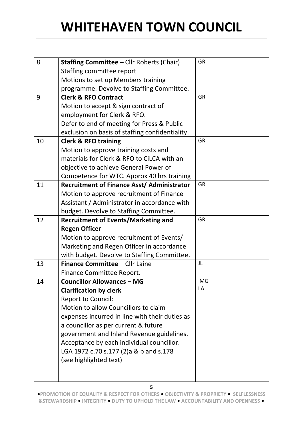| 8  | <b>Staffing Committee - Cllr Roberts (Chair)</b>  | <b>GR</b> |
|----|---------------------------------------------------|-----------|
|    | Staffing committee report                         |           |
|    | Motions to set up Members training                |           |
|    | programme. Devolve to Staffing Committee.         |           |
| 9  | <b>Clerk &amp; RFO Contract</b>                   | <b>GR</b> |
|    | Motion to accept & sign contract of               |           |
|    | employment for Clerk & RFO.                       |           |
|    | Defer to end of meeting for Press & Public        |           |
|    | exclusion on basis of staffing confidentiality.   |           |
| 10 | <b>Clerk &amp; RFO training</b>                   | <b>GR</b> |
|    | Motion to approve training costs and              |           |
|    | materials for Clerk & RFO to CiLCA with an        |           |
|    | objective to achieve General Power of             |           |
|    | Competence for WTC. Approx 40 hrs training        |           |
| 11 | <b>Recruitment of Finance Asst/ Administrator</b> | <b>GR</b> |
|    | Motion to approve recruitment of Finance          |           |
|    | Assistant / Administrator in accordance with      |           |
|    | budget. Devolve to Staffing Committee.            |           |
| 12 | <b>Recruitment of Events/Marketing and</b>        | <b>GR</b> |
|    | <b>Regen Officer</b>                              |           |
|    | Motion to approve recruitment of Events/          |           |
|    | Marketing and Regen Officer in accordance         |           |
|    | with budget. Devolve to Staffing Committee.       |           |
| 13 | Finance Committee - Cllr Laine                    | JL        |
|    | Finance Committee Report.                         |           |
| 14 | <b>Councillor Allowances - MG</b>                 | <b>MG</b> |
|    | <b>Clarification by clerk</b>                     | LA        |
|    | <b>Report to Council:</b>                         |           |
|    | Motion to allow Councillors to claim              |           |
|    | expenses incurred in line with their duties as    |           |
|    | a councillor as per current & future              |           |
|    | government and Inland Revenue guidelines.         |           |
|    | Acceptance by each individual councillor.         |           |
|    | LGA 1972 c.70 s.177 (2)a & b and s.178            |           |
|    |                                                   |           |
|    | (see highlighted text)                            |           |
|    |                                                   |           |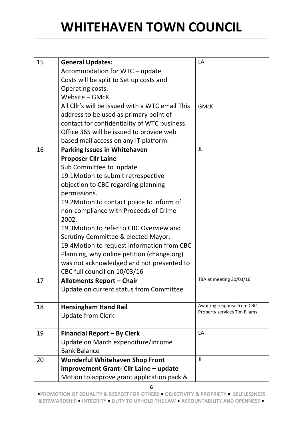| 15 | <b>General Updates:</b>                         | LA                                                         |
|----|-------------------------------------------------|------------------------------------------------------------|
|    | Accommodation for WTC - update                  |                                                            |
|    | Costs will be split to Set up costs and         |                                                            |
|    | Operating costs.                                |                                                            |
|    | Website - GMcK                                  |                                                            |
|    | All Cllr's will be issued with a WTC email This | <b>GMcK</b>                                                |
|    | address to be used as primary point of          |                                                            |
|    | contact for confidentiality of WTC business.    |                                                            |
|    | Office 365 will be issued to provide web        |                                                            |
|    | based mail access on any IT platform.           |                                                            |
| 16 | <b>Parking Issues in Whitehaven</b>             | JL                                                         |
|    | <b>Proposer Cllr Laine</b>                      |                                                            |
|    | Sub Committee to update                         |                                                            |
|    | 19.1Motion to submit retrospective              |                                                            |
|    | objection to CBC regarding planning             |                                                            |
|    | permissions.                                    |                                                            |
|    | 19.2 Motion to contact police to inform of      |                                                            |
|    | non-compliance with Proceeds of Crime           |                                                            |
|    | 2002.                                           |                                                            |
|    | 19.3 Motion to refer to CBC Overview and        |                                                            |
|    | Scrutiny Committee & elected Mayor.             |                                                            |
|    | 19.4 Motion to request information from CBC     |                                                            |
|    | Planning, why online petition (change.org)      |                                                            |
|    | was not acknowledged and not presented to       |                                                            |
|    | CBC full council on 10/03/16                    |                                                            |
| 17 | <b>Allotments Report - Chair</b>                | TBA at meeting 30/03/16                                    |
|    | Update on current status from Committee         |                                                            |
|    |                                                 |                                                            |
| 18 | <b>Hensingham Hand Rail</b>                     | Awaiting response from CBC<br>Property services Tim Ellams |
|    | <b>Update from Clerk</b>                        |                                                            |
|    |                                                 |                                                            |
| 19 | <b>Financial Report - By Clerk</b>              | LA                                                         |
|    | Update on March expenditure/income              |                                                            |
|    | <b>Bank Balance</b>                             |                                                            |
| 20 | <b>Wonderful Whitehaven Shop Front</b>          | JL                                                         |
|    | improvement Grant- Cllr Laine - update          |                                                            |
|    | Motion to approve grant application pack &      |                                                            |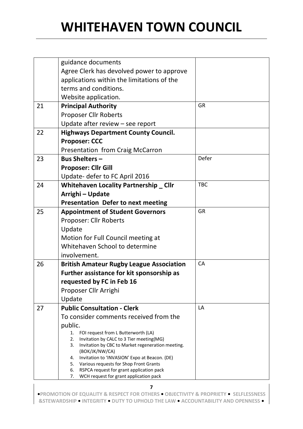|    | guidance documents                                                                                        |            |
|----|-----------------------------------------------------------------------------------------------------------|------------|
|    | Agree Clerk has devolved power to approve                                                                 |            |
|    | applications within the limitations of the                                                                |            |
|    | terms and conditions.                                                                                     |            |
|    | Website application.                                                                                      |            |
| 21 | <b>Principal Authority</b>                                                                                | <b>GR</b>  |
|    | <b>Proposer Cllr Roberts</b>                                                                              |            |
|    | Update after review $-$ see report                                                                        |            |
| 22 | <b>Highways Department County Council.</b>                                                                |            |
|    | <b>Proposer: CCC</b>                                                                                      |            |
|    | Presentation from Craig McCarron                                                                          |            |
| 23 | <b>Bus Shelters -</b>                                                                                     | Defer      |
|    | <b>Proposer: Cllr Gill</b>                                                                                |            |
|    | Update- defer to FC April 2016                                                                            |            |
| 24 | <b>Whitehaven Locality Partnership _ Cllr</b>                                                             | <b>TBC</b> |
|    | Arrighi - Update                                                                                          |            |
|    | <b>Presentation Defer to next meeting</b>                                                                 |            |
| 25 | <b>Appointment of Student Governors</b>                                                                   | <b>GR</b>  |
|    | Proposer: Cllr Roberts                                                                                    |            |
|    | Update                                                                                                    |            |
|    | Motion for Full Council meeting at                                                                        |            |
|    | Whitehaven School to determine                                                                            |            |
|    | involvement.                                                                                              |            |
| 26 | <b>British Amateur Rugby League Association</b>                                                           | CA         |
|    | Further assistance for kit sponsorship as                                                                 |            |
|    | requested by FC in Feb 16                                                                                 |            |
|    | Proposer Cllr Arrighi                                                                                     |            |
|    | Update                                                                                                    |            |
| 27 | <b>Public Consultation - Clerk</b>                                                                        | LA         |
|    | To consider comments received from the                                                                    |            |
|    | public.                                                                                                   |            |
|    | 1. FOI request from L Butterworth (LA)                                                                    |            |
|    | Invitation by CALC to 3 Tier meeting(MG)<br>2.<br>Invitation by CBC to Market regeneration meeting.<br>3. |            |
|    | (BOK/JK/NW/CA)                                                                                            |            |
|    | Invitation to 'INVASION' Expo at Beacon. (DE)<br>4.                                                       |            |
|    | 5. Various requests for Shop Front Grants<br>RSPCA request for grant application pack<br>6.               |            |
|    | WCH request for grant application pack<br>7.                                                              |            |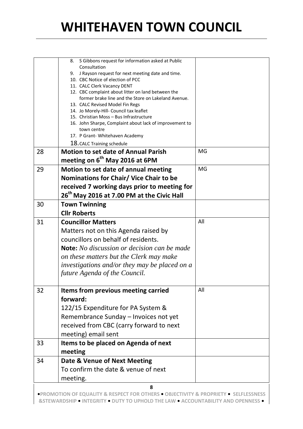|    | S Gibbons request for information asked at Public<br>8.<br>Consultation<br>J Rayson request for next meeting date and time.<br>9.<br>10. CBC Notice of election of PCC<br>11. CALC Clerk Vacancy DENT<br>12. CBC complaint about litter on land between the<br>former brake line and the Store on Lakeland Avenue.<br>13. CALC Revised Model Fin Regs<br>14. Jo Morely-Hill- Council tax leaflet<br>15. Christian Moss - Bus Infrastructure<br>16. John Sharpe, Complaint about lack of improvement to<br>town centre<br>17. P Grant- Whitehaven Academy<br>18. CALC Training schedule |     |
|----|----------------------------------------------------------------------------------------------------------------------------------------------------------------------------------------------------------------------------------------------------------------------------------------------------------------------------------------------------------------------------------------------------------------------------------------------------------------------------------------------------------------------------------------------------------------------------------------|-----|
| 28 | <b>Motion to set date of Annual Parish</b>                                                                                                                                                                                                                                                                                                                                                                                                                                                                                                                                             | MG  |
|    | meeting on 6 <sup>th</sup> May 2016 at 6PM                                                                                                                                                                                                                                                                                                                                                                                                                                                                                                                                             |     |
| 29 | Motion to set date of annual meeting<br>Nominations for Chair/ Vice Chair to be<br>received 7 working days prior to meeting for<br>26 <sup>th</sup> May 2016 at 7.00 PM at the Civic Hall                                                                                                                                                                                                                                                                                                                                                                                              | MG  |
| 30 | <b>Town Twinning</b><br><b>Cllr Roberts</b>                                                                                                                                                                                                                                                                                                                                                                                                                                                                                                                                            |     |
| 31 | <b>Councillor Matters</b><br>Matters not on this Agenda raised by<br>councillors on behalf of residents.<br><b>Note:</b> No discussion or decision can be made<br>on these matters but the Clerk may make<br>investigations and/or they may be placed on a<br>future Agenda of the Council.                                                                                                                                                                                                                                                                                            | All |
| 32 | Items from previous meeting carried<br>forward:<br>122/15 Expenditure for PA System &<br>Remembrance Sunday - Invoices not yet<br>received from CBC (carry forward to next<br>meeting) email sent                                                                                                                                                                                                                                                                                                                                                                                      | All |
| 33 | Items to be placed on Agenda of next<br>meeting                                                                                                                                                                                                                                                                                                                                                                                                                                                                                                                                        |     |
| 34 | Date & Venue of Next Meeting<br>To confirm the date & venue of next<br>meeting.<br>8                                                                                                                                                                                                                                                                                                                                                                                                                                                                                                   |     |
|    |                                                                                                                                                                                                                                                                                                                                                                                                                                                                                                                                                                                        |     |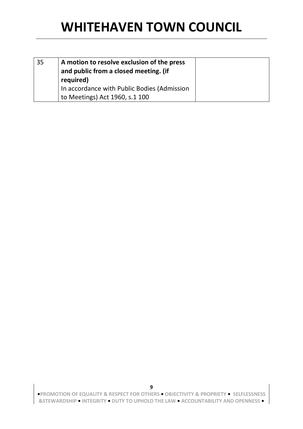| 35 | A motion to resolve exclusion of the press<br>and public from a closed meeting. (if |  |
|----|-------------------------------------------------------------------------------------|--|
|    | required)                                                                           |  |
|    | In accordance with Public Bodies (Admission                                         |  |
|    | to Meetings) Act 1960, s.1 100                                                      |  |